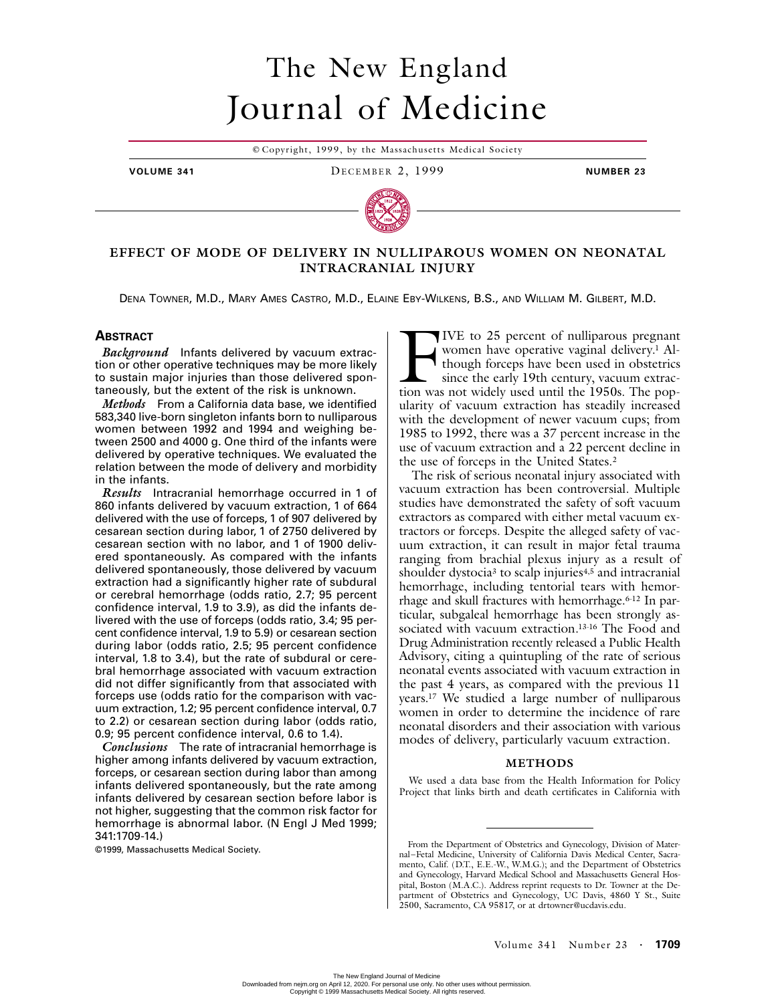# The New England Journal of Medicine

© Copyright, 1999, by the Massachusetts Medical Society

**VOLUME 341** DECEMBER 2, 1999 **NUMBER 23**



# **EFFECT OF MODE OF DELIVERY IN NULLIPAROUS WOMEN ON NEONATAL INTRACRANIAL INJURY**

DENA TOWNER, M.D., MARY AMES CASTRO, M.D., ELAINE EBY-WILKENS, B.S., AND WILLIAM M. GILBERT, M.D.

## **ABSTRACT**

*Background* Infants delivered by vacuum extraction or other operative techniques may be more likely to sustain major injuries than those delivered spontaneously, but the extent of the risk is unknown.

*Methods* From a California data base, we identified 583,340 live-born singleton infants born to nulliparous women between 1992 and 1994 and weighing between 2500 and 4000 g. One third of the infants were delivered by operative techniques. We evaluated the relation between the mode of delivery and morbidity in the infants.

*Results* Intracranial hemorrhage occurred in 1 of 860 infants delivered by vacuum extraction, 1 of 664 delivered with the use of forceps, 1 of 907 delivered by cesarean section during labor, 1 of 2750 delivered by cesarean section with no labor, and 1 of 1900 delivered spontaneously. As compared with the infants delivered spontaneously, those delivered by vacuum extraction had a significantly higher rate of subdural or cerebral hemorrhage (odds ratio, 2.7; 95 percent confidence interval, 1.9 to 3.9), as did the infants delivered with the use of forceps (odds ratio, 3.4; 95 percent confidence interval, 1.9 to 5.9) or cesarean section during labor (odds ratio, 2.5; 95 percent confidence interval, 1.8 to 3.4), but the rate of subdural or cerebral hemorrhage associated with vacuum extraction did not differ significantly from that associated with forceps use (odds ratio for the comparison with vacuum extraction, 1.2; 95 percent confidence interval, 0.7 to 2.2) or cesarean section during labor (odds ratio, 0.9; 95 percent confidence interval, 0.6 to 1.4).

*Conclusions* The rate of intracranial hemorrhage is higher among infants delivered by vacuum extraction, forceps, or cesarean section during labor than among infants delivered spontaneously, but the rate among infants delivered by cesarean section before labor is not higher, suggesting that the common risk factor for hemorrhage is abnormal labor. (N Engl J Med 1999; 341:1709-14.)

IVE to 25 percent of nulliparous pregnant women have operative vaginal delivery.<sup>1</sup> Although forceps have been used in obstetrics since the early 19th century, vacuum extrac-IVE to 25 percent of nulliparous pregnant women have operative vaginal delivery.<sup>1</sup> Although forceps have been used in obstetrics since the early 19th century, vacuum extraction was not widely used until the 1950s. The pop ularity of vacuum extraction has steadily increased with the development of newer vacuum cups; from 1985 to 1992, there was a 37 percent increase in the use of vacuum extraction and a 22 percent decline in the use of forceps in the United States.2

The risk of serious neonatal injury associated with vacuum extraction has been controversial. Multiple studies have demonstrated the safety of soft vacuum extractors as compared with either metal vacuum extractors or forceps. Despite the alleged safety of vacuum extraction, it can result in major fetal trauma ranging from brachial plexus injury as a result of shoulder dystocia<sup>3</sup> to scalp injuries<sup>4,5</sup> and intracranial hemorrhage, including tentorial tears with hemorrhage and skull fractures with hemorrhage.6-12 In particular, subgaleal hemorrhage has been strongly associated with vacuum extraction.13-16 The Food and Drug Administration recently released a Public Health Advisory, citing a quintupling of the rate of serious neonatal events associated with vacuum extraction in the past 4 years, as compared with the previous 11 years.17 We studied a large number of nulliparous women in order to determine the incidence of rare neonatal disorders and their association with various modes of delivery, particularly vacuum extraction.

#### **METHODS**

We used a data base from the Health Information for Policy Project that links birth and death certificates in California with

<sup>©1999,</sup> Massachusetts Medical Society. From the Department of Obstetrics and Gynecology, Division of Maternal–Fetal Medicine, University of California Davis Medical Center, Sacramento, Calif. (D.T., E.E.-W., W.M.G.); and the Department of Obstetrics and Gynecology, Harvard Medical School and Massachusetts General Hospital, Boston (M.A.C.). Address reprint requests to Dr. Towner at the Department of Obstetrics and Gynecology, UC Davis, 4860 Y St., Suite 2500, Sacramento, CA 95817, or at drtowner@ucdavis.edu.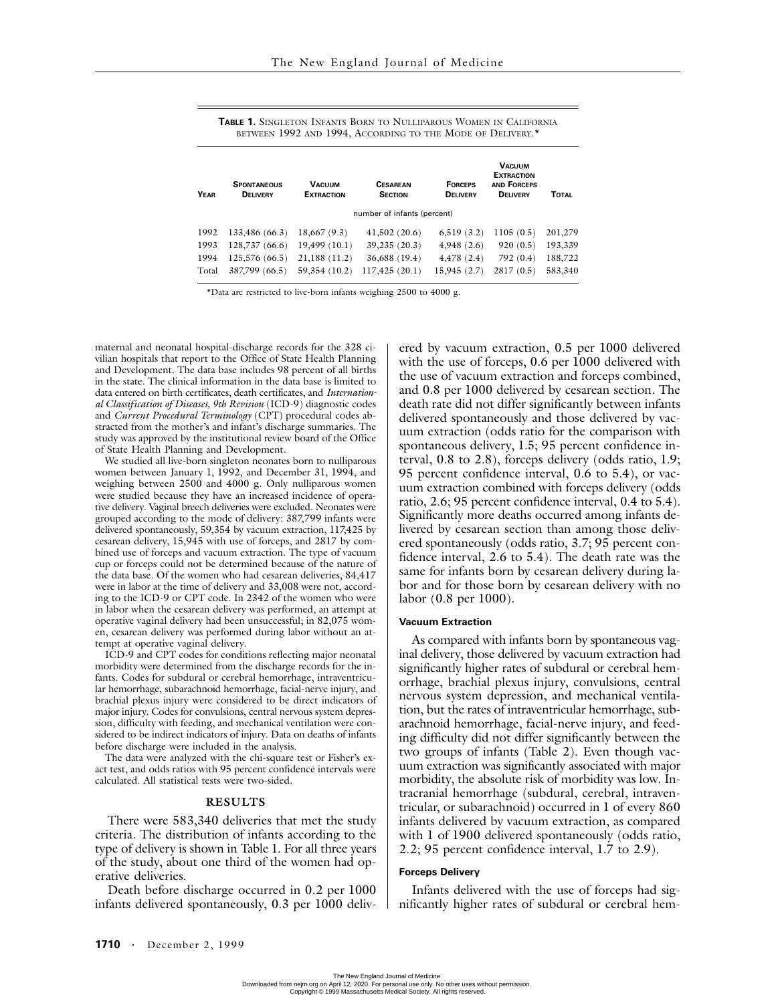| BETWEEN 1992 AND 1994, ACCORDING TO THE MODE OF DELIVERY. <sup>*</sup> |                                       |                                    |                                   |                                   |                                                                             |              |  |  |  |  |  |
|------------------------------------------------------------------------|---------------------------------------|------------------------------------|-----------------------------------|-----------------------------------|-----------------------------------------------------------------------------|--------------|--|--|--|--|--|
| <b>YEAR</b>                                                            | <b>SPONTANEOUS</b><br><b>DELIVERY</b> | <b>VACUUM</b><br><b>EXTRACTION</b> | <b>CESAREAN</b><br><b>SECTION</b> | <b>FORCEPS</b><br><b>DELIVERY</b> | <b>VACUUM</b><br><b>EXTRACTION</b><br><b>AND FORCEPS</b><br><b>DELIVERY</b> | <b>TOTAL</b> |  |  |  |  |  |
|                                                                        | number of infants (percent)           |                                    |                                   |                                   |                                                                             |              |  |  |  |  |  |
| 1992                                                                   | 133,486 (66.3)                        | 18,667 (9.3)                       | 41,502(20.6)                      | 6,519(3.2)                        | 1105(0.5)                                                                   | 201,279      |  |  |  |  |  |
| 1993                                                                   | 128,737 (66.6)                        | 19,499 (10.1)                      | 39,235 (20.3)                     | 4,948(2.6)                        | 920(0.5)                                                                    | 193,339      |  |  |  |  |  |
| 1994                                                                   | 125,576 (66.5)                        | 21,188(11.2)                       | 36,688 (19.4)                     | 4,478(2.4)                        | 792(0.4)                                                                    | 188,722      |  |  |  |  |  |
| Total                                                                  | 387,799 (66.5)                        | 59,354 (10.2)                      | 117,425 (20.1)                    | 15,945 (2.7)                      | 2817(0.5)                                                                   | 583,340      |  |  |  |  |  |

**TABLE 1.** SINGLETON INFANTS BORN TO NULLIPAROUS WOMEN IN CALIFORNIA

\*Data are restricted to live-born infants weighing 2500 to 4000 g.

maternal and neonatal hospital-discharge records for the 328 civilian hospitals that report to the Office of State Health Planning and Development. The data base includes 98 percent of all births in the state. The clinical information in the data base is limited to data entered on birth certificates, death certificates, and *International Classification of Diseases, 9th Revision* (ICD-9) diagnostic codes and *Current Procedural Terminology* (CPT) procedural codes abstracted from the mother's and infant's discharge summaries. The study was approved by the institutional review board of the Office of State Health Planning and Development.

We studied all live-born singleton neonates born to nulliparous women between January 1, 1992, and December 31, 1994, and weighing between 2500 and 4000 g. Only nulliparous women were studied because they have an increased incidence of operative delivery. Vaginal breech deliveries were excluded. Neonates were grouped according to the mode of delivery: 387,799 infants were delivered spontaneously, 59,354 by vacuum extraction, 117,425 by cesarean delivery, 15,945 with use of forceps, and 2817 by combined use of forceps and vacuum extraction. The type of vacuum cup or forceps could not be determined because of the nature of the data base. Of the women who had cesarean deliveries, 84,417 were in labor at the time of delivery and 33,008 were not, according to the ICD-9 or CPT code. In 2342 of the women who were in labor when the cesarean delivery was performed, an attempt at operative vaginal delivery had been unsuccessful; in 82,075 women, cesarean delivery was performed during labor without an attempt at operative vaginal delivery.

ICD-9 and CPT codes for conditions reflecting major neonatal morbidity were determined from the discharge records for the infants. Codes for subdural or cerebral hemorrhage, intraventricular hemorrhage, subarachnoid hemorrhage, facial-nerve injury, and brachial plexus injury were considered to be direct indicators of major injury. Codes for convulsions, central nervous system depression, difficulty with feeding, and mechanical ventilation were considered to be indirect indicators of injury. Data on deaths of infants before discharge were included in the analysis.

The data were analyzed with the chi-square test or Fisher's exact test, and odds ratios with 95 percent confidence intervals were calculated. All statistical tests were two-sided.

#### **RESULTS**

There were 583,340 deliveries that met the study criteria. The distribution of infants according to the type of delivery is shown in Table 1. For all three years of the study, about one third of the women had operative deliveries.

Death before discharge occurred in 0.2 per 1000 infants delivered spontaneously, 0.3 per 1000 delivered by vacuum extraction, 0.5 per 1000 delivered with the use of forceps, 0.6 per 1000 delivered with the use of vacuum extraction and forceps combined, and 0.8 per 1000 delivered by cesarean section. The death rate did not differ significantly between infants delivered spontaneously and those delivered by vacuum extraction (odds ratio for the comparison with spontaneous delivery, 1.5; 95 percent confidence interval, 0.8 to 2.8), forceps delivery (odds ratio, 1.9; 95 percent confidence interval, 0.6 to 5.4), or vacuum extraction combined with forceps delivery (odds ratio, 2.6; 95 percent confidence interval, 0.4 to 5.4). Significantly more deaths occurred among infants delivered by cesarean section than among those delivered spontaneously (odds ratio, 3.7; 95 percent confidence interval, 2.6 to 5.4). The death rate was the same for infants born by cesarean delivery during labor and for those born by cesarean delivery with no labor (0.8 per 1000).

#### **Vacuum Extraction**

As compared with infants born by spontaneous vaginal delivery, those delivered by vacuum extraction had significantly higher rates of subdural or cerebral hemorrhage, brachial plexus injury, convulsions, central nervous system depression, and mechanical ventilation, but the rates of intraventricular hemorrhage, subarachnoid hemorrhage, facial-nerve injury, and feeding difficulty did not differ significantly between the two groups of infants (Table 2). Even though vacuum extraction was significantly associated with major morbidity, the absolute risk of morbidity was low. Intracranial hemorrhage (subdural, cerebral, intraventricular, or subarachnoid) occurred in 1 of every 860 infants delivered by vacuum extraction, as compared with 1 of 1900 delivered spontaneously (odds ratio, 2.2; 95 percent confidence interval, 1.7 to 2.9).

## **Forceps Delivery**

Infants delivered with the use of forceps had significantly higher rates of subdural or cerebral hem-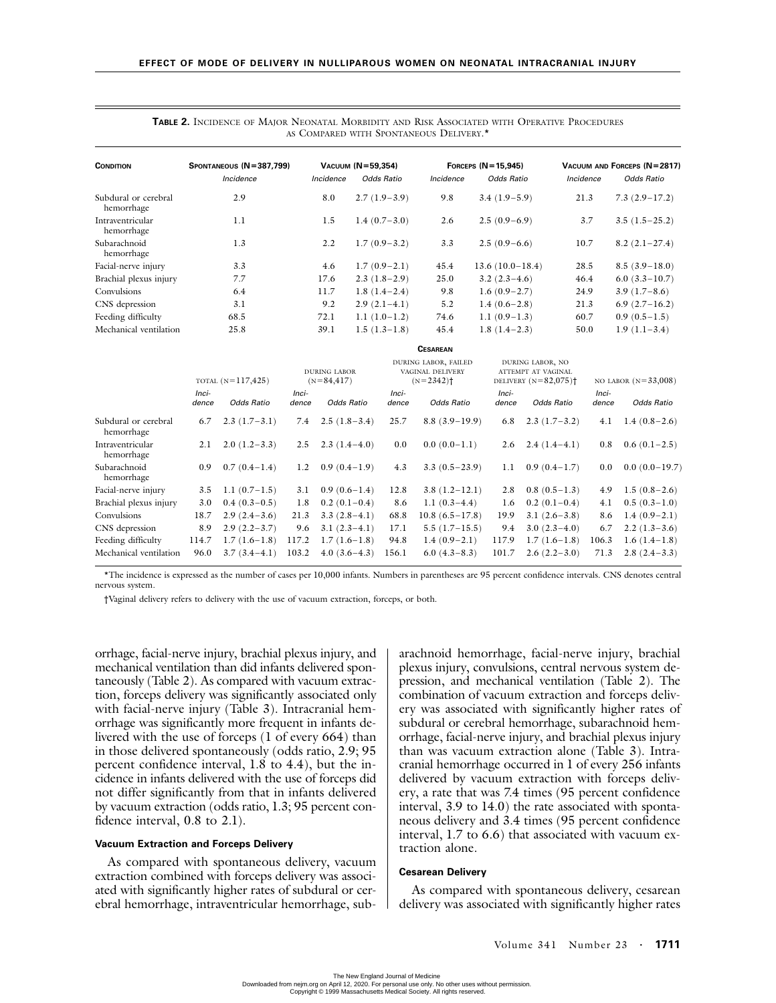| <b>CONDITION</b>                   | SPONTANEOUS (N=387,799) | VACUUM (N=59,354) |                   | FORCEPS $(N=15,945)$ |                   | VACUUM AND FORCEPS (N=2817) |                   |  |
|------------------------------------|-------------------------|-------------------|-------------------|----------------------|-------------------|-----------------------------|-------------------|--|
|                                    | Incidence               | Incidence         | <b>Odds Ratio</b> | Incidence            | <b>Odds Ratio</b> | Incidence                   | <b>Odds Ratio</b> |  |
| Subdural or cerebral<br>hemorrhage | 2.9                     | 8.0               | $2.7(1.9-3.9)$    | 9.8                  | $3.4(1.9-5.9)$    | 21.3                        | $7.3(2.9-17.2)$   |  |
| Intraventricular<br>hemorrhage     | 1.1                     | 1.5               | $1.4(0.7-3.0)$    | 2.6                  | $2.5(0.9-6.9)$    | 3.7                         | $3.5(1.5-25.2)$   |  |
| Subarachnoid<br>hemorrhage         | 1.3                     | $2.2\,$           | $1.7(0.9-3.2)$    | 3.3                  | $2.5(0.9-6.6)$    | 10.7                        | $8.2(2.1-27.4)$   |  |
| Facial-nerve injury                | 3.3                     | 4.6               | $1.7(0.9-2.1)$    | 45.4                 | $13.6(10.0-18.4)$ | 28.5                        | $8.5(3.9-18.0)$   |  |
| Brachial plexus injury             | 7.7                     | 17.6              | $2.3(1.8-2.9)$    | 25.0                 | $3.2(2.3-4.6)$    | 46.4                        | $6.0(3.3-10.7)$   |  |
| Convulsions                        | 6.4                     | 11.7              | $1.8(1.4-2.4)$    | 9.8                  | $1.6(0.9-2.7)$    | 24.9                        | $3.9(1.7-8.6)$    |  |
| CNS depression                     | 3.1                     | 9.2               | $2.9(2.1-4.1)$    | 5.2                  | $1.4(0.6-2.8)$    | 21.3                        | $6.9(2.7-16.2)$   |  |
| Feeding difficulty                 | 68.5                    | 72.1              | $1.1(1.0-1.2)$    | 74.6                 | $1.1(0.9-1.3)$    | 60.7                        | $0.9(0.5-1.5)$    |  |
| Mechanical ventilation             | 25.8                    | 39.1              | $1.5(1.3-1.8)$    | 45.4                 | $1.8(1.4-2.3)$    | 50.0                        | $1.9(1.1-3.4)$    |  |

|  |  |  | <b>TABLE 2.</b> INCIDENCE OF MAIOR NEONATAL MORBIDITY AND RISK ASSOCIATED WITH OPERATIVE PROCEDURES |  |  |
|--|--|--|-----------------------------------------------------------------------------------------------------|--|--|
|  |  |  | AS COMPARED WITH SPONTANEOUS DELIVERY.*                                                             |  |  |

|                                    | <b>CESAREAN</b>     |                   |                                      |                   |                                                                     |                    |                                                                              |                   |                       |                   |
|------------------------------------|---------------------|-------------------|--------------------------------------|-------------------|---------------------------------------------------------------------|--------------------|------------------------------------------------------------------------------|-------------------|-----------------------|-------------------|
|                                    | TOTAL $(N=117,425)$ |                   | <b>DURING LABOR</b><br>$(N=84, 417)$ |                   | DURING LABOR, FAILED<br>VAGINAL DELIVERY<br>$(N=2342)$ <sup>+</sup> |                    | DURING LABOR, NO<br>ATTEMPT AT VAGINAL<br>DELIVERY $(N=82,075)$ <sup>+</sup> |                   | NO LABOR $(N=33,008)$ |                   |
|                                    | Inci-<br>dence      | <b>Odds Ratio</b> | Inci-<br>dence                       | <b>Odds Ratio</b> | Inci-<br>dence                                                      | <b>Odds Ratio</b>  | Inci-<br>dence                                                               | <b>Odds Ratio</b> | Inci-<br>dence        | <b>Odds Ratio</b> |
| Subdural or cerebral<br>hemorrhage | 6.7                 | $2.3(1.7-3.1)$    | 7.4                                  | $2.5(1.8-3.4)$    | 25.7                                                                | $8.8(3.9-19.9)$    | 6.8                                                                          | $2.3(1.7-3.2)$    | 4.1                   | $1.4(0.8-2.6)$    |
| Intraventricular<br>hemorrhage     | 2.1                 | $2.0(1.2-3.3)$    | 2.5                                  | $2.3(1.4-4.0)$    | 0.0                                                                 | $0.0(0.0-1.1)$     | 2.6                                                                          | $2.4(1.4-4.1)$    | 0.8                   | $0.6(0.1-2.5)$    |
| Subarachnoid<br>hemorrhage         | 0.9                 | $0.7(0.4-1.4)$    | 1.2                                  | $0.9(0.4-1.9)$    | 4.3                                                                 | $3.3(0.5-23.9)$    | 1.1                                                                          | $0.9(0.4-1.7)$    | 0.0                   | $0.0(0.0-19.7)$   |
| Facial-nerve injury                | 3.5                 | $1.1(0.7-1.5)$    | 3.1                                  | $0.9(0.6-1.4)$    | 12.8                                                                | $3.8(1.2 - 12.1)$  | 2.8                                                                          | $0.8(0.5-1.3)$    | 4.9                   | $1.5(0.8-2.6)$    |
| Brachial plexus injury             | 3.0                 | $0.4(0.3-0.5)$    | 1.8                                  | $0.2(0.1-0.4)$    | 8.6                                                                 | 1.1 $(0.3-4.4)$    | 1.6                                                                          | $0.2(0.1-0.4)$    | 4.1                   | $0.5(0.3-1.0)$    |
| Convulsions                        | 18.7                | $2.9(2.4-3.6)$    | 21.3                                 | $3.3(2.8-4.1)$    | 68.8                                                                | $10.8(6.5 - 17.8)$ | 19.9                                                                         | $3.1(2.6-3.8)$    | 8.6                   | $1.4(0.9-2.1)$    |
| CNS depression                     | 8.9                 | $2.9(2.2 - 3.7)$  | 9.6                                  | $3.1(2.3-4.1)$    | 17.1                                                                | $5.5(1.7-15.5)$    | 9.4                                                                          | $3.0(2.3-4.0)$    | 6.7                   | $2.2(1.3-3.6)$    |
| Feeding difficulty                 | 114.7               | $1.7(1.6-1.8)$    | 117.2                                | $1.7(1.6-1.8)$    | 94.8                                                                | $1.4(0.9-2.1)$     | 117.9                                                                        | $1.7(1.6-1.8)$    | 106.3                 | $1.6(1.4-1.8)$    |
| Mechanical ventilation             | 96.0                | $3.7(3.4-4.1)$    | 103.2                                | $4.0(3.6-4.3)$    | 156.1                                                               | $6.0(4.3-8.3)$     | 101.7                                                                        | $2.6(2.2-3.0)$    | 71.3                  | $2.8(2.4-3.3)$    |

\*The incidence is expressed as the number of cases per 10,000 infants. Numbers in parentheses are 95 percent confidence intervals. CNS denotes central nervous system.

†Vaginal delivery refers to delivery with the use of vacuum extraction, forceps, or both.

orrhage, facial-nerve injury, brachial plexus injury, and mechanical ventilation than did infants delivered spontaneously (Table 2). As compared with vacuum extraction, forceps delivery was significantly associated only with facial-nerve injury (Table 3). Intracranial hemorrhage was significantly more frequent in infants delivered with the use of forceps (1 of every 664) than in those delivered spontaneously (odds ratio, 2.9; 95 percent confidence interval, 1.8 to 4.4), but the incidence in infants delivered with the use of forceps did not differ significantly from that in infants delivered by vacuum extraction (odds ratio, 1.3; 95 percent confidence interval, 0.8 to 2.1).

#### **Vacuum Extraction and Forceps Delivery**

As compared with spontaneous delivery, vacuum extraction combined with forceps delivery was associated with significantly higher rates of subdural or cerebral hemorrhage, intraventricular hemorrhage, subarachnoid hemorrhage, facial-nerve injury, brachial plexus injury, convulsions, central nervous system depression, and mechanical ventilation (Table 2). The combination of vacuum extraction and forceps delivery was associated with significantly higher rates of subdural or cerebral hemorrhage, subarachnoid hemorrhage, facial-nerve injury, and brachial plexus injury than was vacuum extraction alone (Table 3). Intracranial hemorrhage occurred in 1 of every 256 infants delivered by vacuum extraction with forceps delivery, a rate that was 7.4 times (95 percent confidence interval, 3.9 to 14.0) the rate associated with spontaneous delivery and 3.4 times (95 percent confidence interval, 1.7 to 6.6) that associated with vacuum extraction alone.

## **Cesarean Delivery**

As compared with spontaneous delivery, cesarean delivery was associated with significantly higher rates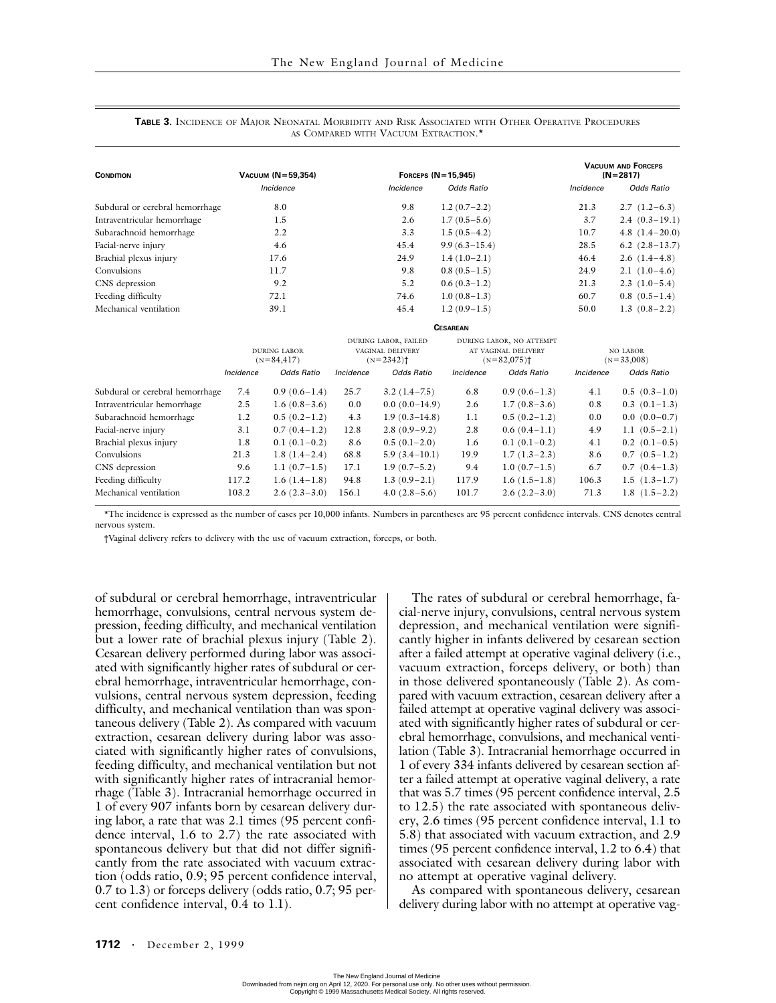| <b>CONDITION</b>                | VACUUM (N=59.354)                    |                                                                     | FORCEPS $(N = 15.945)$                                                       | <b>VACUUM AND FORCEPS</b><br>$(N=2817)$ |                          |  |
|---------------------------------|--------------------------------------|---------------------------------------------------------------------|------------------------------------------------------------------------------|-----------------------------------------|--------------------------|--|
|                                 | Incidence                            | Incidence                                                           | <b>Odds Ratio</b>                                                            | Incidence                               | <b>Odds Ratio</b>        |  |
| Subdural or cerebral hemorrhage | 8.0                                  | 9.8                                                                 | $1.2(0.7-2.2)$                                                               | 21.3                                    | $2.7(1.2-6.3)$           |  |
| Intraventricular hemorrhage     | 1.5                                  | 2.6                                                                 | $1.7(0.5-5.6)$                                                               | 3.7                                     | $2.4(0.3-19.1)$          |  |
| Subarachnoid hemorrhage         | 2.2                                  | 3.3                                                                 | $1.5(0.5-4.2)$                                                               | 10.7                                    | $4.8$ $(1.4-20.0)$       |  |
| Facial-nerve injury             | 4.6                                  | 45.4                                                                | $9.9(6.3 - 15.4)$                                                            | 28.5                                    | $6.2$ $(2.8-13.7)$       |  |
| Brachial plexus injury          | 17.6                                 | 24.9                                                                | $1.4(1.0-2.1)$                                                               | 46.4                                    | $2.6(1.4-4.8)$           |  |
| Convulsions                     | 11.7                                 | 9.8                                                                 | $0.8(0.5-1.5)$                                                               | 24.9                                    | $2.1(1.0-4.6)$           |  |
| CNS depression                  | 9.2                                  | 5.2                                                                 | $0.6(0.3-1.2)$                                                               | 21.3                                    | $2.3(1.0-5.4)$           |  |
| Feeding difficulty              | 72.1                                 | 74.6                                                                | $1.0(0.8-1.3)$                                                               | 60.7                                    | $0.8$ $(0.5-1.4)$        |  |
| Mechanical ventilation          | 39.1                                 | 45.4                                                                | $1.2(0.9-1.5)$                                                               | 50.0                                    | $1.3(0.8-2.2)$           |  |
|                                 |                                      |                                                                     | <b>CESAREAN</b>                                                              |                                         |                          |  |
|                                 | <b>DURING LABOR</b><br>$(N=84, 417)$ | DURING LABOR, FAILED<br>VAGINAL DELIVERY<br>$(N=2342)$ <sup>+</sup> | DURING LABOR, NO ATTEMPT<br>AT VAGINAL DELIVERY<br>$(N=82,075)$ <sup>+</sup> |                                         | NO LABOR<br>$(N=33,008)$ |  |

#### **TABLE 3.** INCIDENCE OF MAJOR NEONATAL MORBIDITY AND RISK ASSOCIATED WITH OTHER OPERATIVE PROCEDURES AS COMPARED WITH VACUUM EXTRACTION.\*

|                                 | <b>DURING LABOR</b><br>$(N=84,417)$ |                   | DURING LABOR, FAILED<br>VAGINAL DELIVERY<br>$(N=2342)$ <sup>+</sup> |                   |                                                  | DURING LABOR, NO ATTEMPT |                          |                   |
|---------------------------------|-------------------------------------|-------------------|---------------------------------------------------------------------|-------------------|--------------------------------------------------|--------------------------|--------------------------|-------------------|
|                                 |                                     |                   |                                                                     |                   | AT VAGINAL DELIVERY<br>$(N=82,075)$ <sup>+</sup> |                          | NO LABOR<br>$(N=33,008)$ |                   |
|                                 | Incidence                           | <b>Odds Ratio</b> | Incidence                                                           | <b>Odds Ratio</b> | Incidence                                        | <b>Odds Ratio</b>        | Incidence                | <b>Odds Ratio</b> |
| Subdural or cerebral hemorrhage | 7.4                                 | $0.9(0.6-1.4)$    | 25.7                                                                | $3.2(1.4-7.5)$    | 6.8                                              | $0.9(0.6-1.3)$           | 4.1                      | $0.5(0.3-1.0)$    |
| Intraventricular hemorrhage     | 2.5                                 | $1.6(0.8-3.6)$    | 0.0                                                                 | $0.0(0.0-14.9)$   | 2.6                                              | $1.7(0.8-3.6)$           | 0.8                      | $0.3(0.1-1.3)$    |
| Subarachnoid hemorrhage         | 1.2                                 | $0.5(0.2-1.2)$    | 4.3                                                                 | $1.9(0.3 - 14.8)$ | 1.1                                              | $0.5(0.2-1.2)$           | 0.0                      | $0.0(0.0-0.7)$    |
| Facial-nerve injury             | 3.1                                 | $0.7(0.4-1.2)$    | 12.8                                                                | $2.8(0.9-9.2)$    | 2.8                                              | $0.6(0.4-1.1)$           | 4.9                      | $1.1(0.5-2.1)$    |
| Brachial plexus injury          | 1.8                                 | $0.1(0.1-0.2)$    | 8.6                                                                 | $0.5(0.1-2.0)$    | 1.6                                              | $0.1(0.1-0.2)$           | 4.1                      | $0.2$ $(0.1-0.5)$ |
| Convulsions                     | 21.3                                | $1.8(1.4-2.4)$    | 68.8                                                                | $5.9(3.4-10.1)$   | 19.9                                             | $1.7(1.3-2.3)$           | 8.6                      | $0.7(0.5-1.2)$    |
| CNS depression                  | 9.6                                 | $1.1(0.7-1.5)$    | 17.1                                                                | $1.9(0.7-5.2)$    | 9.4                                              | $1.0(0.7-1.5)$           | 6.7                      | $0.7(0.4-1.3)$    |
| Feeding difficulty              | 117.2                               | $1.6(1.4-1.8)$    | 94.8                                                                | $1.3(0.9-2.1)$    | 117.9                                            | $1.6(1.5-1.8)$           | 106.3                    | $1.5(1.3-1.7)$    |
| Mechanical ventilation          | 103.2                               | $2.6(2.3-3.0)$    | 156.1                                                               | $4.0(2.8-5.6)$    | 101.7                                            | $2.6(2.2-3.0)$           | 71.3                     | $1.8(1.5-2.2)$    |
|                                 |                                     |                   |                                                                     |                   |                                                  |                          |                          |                   |

\*The incidence is expressed as the number of cases per 10,000 infants. Numbers in parentheses are 95 percent confidence intervals. CNS denotes central nervous system.

†Vaginal delivery refers to delivery with the use of vacuum extraction, forceps, or both.

of subdural or cerebral hemorrhage, intraventricular hemorrhage, convulsions, central nervous system depression, feeding difficulty, and mechanical ventilation but a lower rate of brachial plexus injury (Table 2). Cesarean delivery performed during labor was associated with significantly higher rates of subdural or cerebral hemorrhage, intraventricular hemorrhage, convulsions, central nervous system depression, feeding difficulty, and mechanical ventilation than was spontaneous delivery (Table 2). As compared with vacuum extraction, cesarean delivery during labor was associated with significantly higher rates of convulsions, feeding difficulty, and mechanical ventilation but not with significantly higher rates of intracranial hemorrhage (Table 3). Intracranial hemorrhage occurred in 1 of every 907 infants born by cesarean delivery during labor, a rate that was 2.1 times (95 percent confidence interval, 1.6 to 2.7) the rate associated with spontaneous delivery but that did not differ significantly from the rate associated with vacuum extraction (odds ratio, 0.9; 95 percent confidence interval, 0.7 to 1.3) or forceps delivery (odds ratio, 0.7; 95 percent confidence interval, 0.4 to 1.1).

The rates of subdural or cerebral hemorrhage, facial-nerve injury, convulsions, central nervous system depression, and mechanical ventilation were significantly higher in infants delivered by cesarean section after a failed attempt at operative vaginal delivery (i.e., vacuum extraction, forceps delivery, or both) than in those delivered spontaneously (Table 2). As compared with vacuum extraction, cesarean delivery after a failed attempt at operative vaginal delivery was associated with significantly higher rates of subdural or cerebral hemorrhage, convulsions, and mechanical ventilation (Table 3). Intracranial hemorrhage occurred in 1 of every 334 infants delivered by cesarean section after a failed attempt at operative vaginal delivery, a rate that was 5.7 times (95 percent confidence interval, 2.5 to 12.5) the rate associated with spontaneous delivery, 2.6 times (95 percent confidence interval, 1.1 to 5.8) that associated with vacuum extraction, and 2.9 times (95 percent confidence interval, 1.2 to 6.4) that associated with cesarean delivery during labor with no attempt at operative vaginal delivery.

As compared with spontaneous delivery, cesarean delivery during labor with no attempt at operative vag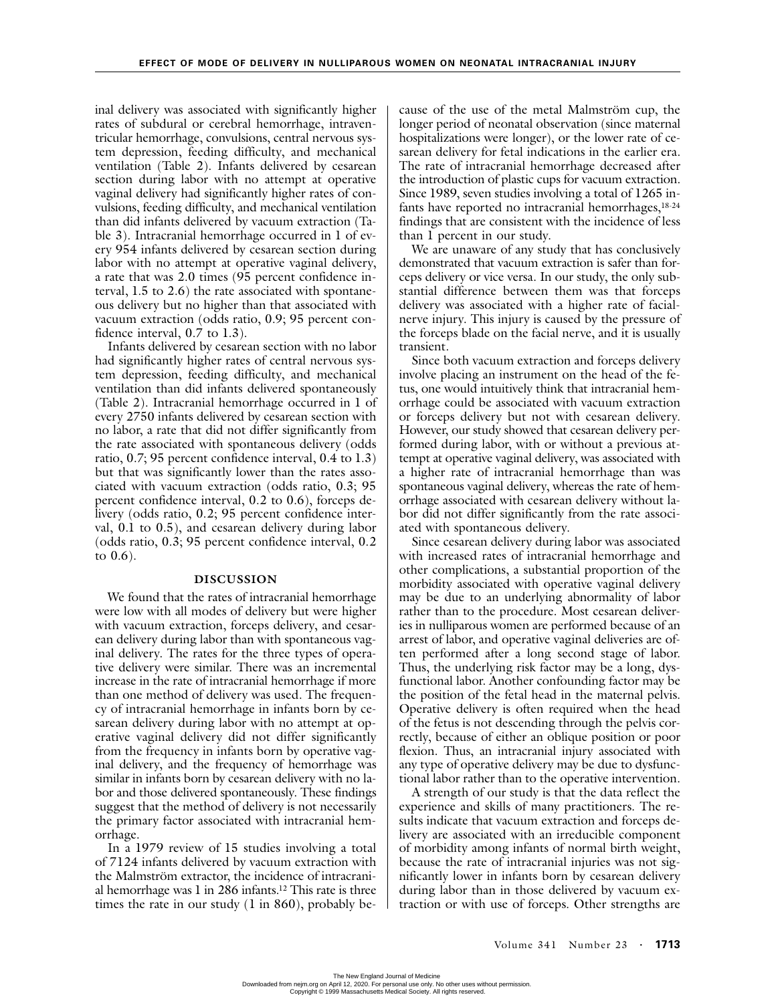inal delivery was associated with significantly higher rates of subdural or cerebral hemorrhage, intraventricular hemorrhage, convulsions, central nervous system depression, feeding difficulty, and mechanical ventilation (Table 2). Infants delivered by cesarean section during labor with no attempt at operative vaginal delivery had significantly higher rates of convulsions, feeding difficulty, and mechanical ventilation than did infants delivered by vacuum extraction (Table 3). Intracranial hemorrhage occurred in 1 of every 954 infants delivered by cesarean section during labor with no attempt at operative vaginal delivery, a rate that was 2.0 times (95 percent confidence interval, 1.5 to 2.6) the rate associated with spontaneous delivery but no higher than that associated with vacuum extraction (odds ratio, 0.9; 95 percent confidence interval, 0.7 to 1.3).

Infants delivered by cesarean section with no labor had significantly higher rates of central nervous system depression, feeding difficulty, and mechanical ventilation than did infants delivered spontaneously (Table 2). Intracranial hemorrhage occurred in 1 of every 2750 infants delivered by cesarean section with no labor, a rate that did not differ significantly from the rate associated with spontaneous delivery (odds ratio, 0.7; 95 percent confidence interval, 0.4 to 1.3) but that was significantly lower than the rates associated with vacuum extraction (odds ratio, 0.3; 95 percent confidence interval, 0.2 to 0.6), forceps delivery (odds ratio, 0.2; 95 percent confidence interval, 0.1 to 0.5), and cesarean delivery during labor (odds ratio, 0.3; 95 percent confidence interval, 0.2 to 0.6).

# **DISCUSSION**

We found that the rates of intracranial hemorrhage were low with all modes of delivery but were higher with vacuum extraction, forceps delivery, and cesarean delivery during labor than with spontaneous vaginal delivery. The rates for the three types of operative delivery were similar. There was an incremental increase in the rate of intracranial hemorrhage if more than one method of delivery was used. The frequency of intracranial hemorrhage in infants born by cesarean delivery during labor with no attempt at operative vaginal delivery did not differ significantly from the frequency in infants born by operative vaginal delivery, and the frequency of hemorrhage was similar in infants born by cesarean delivery with no labor and those delivered spontaneously. These findings suggest that the method of delivery is not necessarily the primary factor associated with intracranial hemorrhage.

In a 1979 review of 15 studies involving a total of 7124 infants delivered by vacuum extraction with the Malmström extractor, the incidence of intracranial hemorrhage was 1 in 286 infants.12 This rate is three times the rate in our study (1 in 860), probably because of the use of the metal Malmström cup, the longer period of neonatal observation (since maternal hospitalizations were longer), or the lower rate of cesarean delivery for fetal indications in the earlier era. The rate of intracranial hemorrhage decreased after the introduction of plastic cups for vacuum extraction. Since 1989, seven studies involving a total of 1265 infants have reported no intracranial hemorrhages,<sup>18-24</sup> findings that are consistent with the incidence of less than 1 percent in our study.

We are unaware of any study that has conclusively demonstrated that vacuum extraction is safer than forceps delivery or vice versa. In our study, the only substantial difference between them was that forceps delivery was associated with a higher rate of facialnerve injury. This injury is caused by the pressure of the forceps blade on the facial nerve, and it is usually transient.

Since both vacuum extraction and forceps delivery involve placing an instrument on the head of the fetus, one would intuitively think that intracranial hemorrhage could be associated with vacuum extraction or forceps delivery but not with cesarean delivery. However, our study showed that cesarean delivery performed during labor, with or without a previous attempt at operative vaginal delivery, was associated with a higher rate of intracranial hemorrhage than was spontaneous vaginal delivery, whereas the rate of hemorrhage associated with cesarean delivery without labor did not differ significantly from the rate associated with spontaneous delivery.

Since cesarean delivery during labor was associated with increased rates of intracranial hemorrhage and other complications, a substantial proportion of the morbidity associated with operative vaginal delivery may be due to an underlying abnormality of labor rather than to the procedure. Most cesarean deliveries in nulliparous women are performed because of an arrest of labor, and operative vaginal deliveries are often performed after a long second stage of labor. Thus, the underlying risk factor may be a long, dysfunctional labor. Another confounding factor may be the position of the fetal head in the maternal pelvis. Operative delivery is often required when the head of the fetus is not descending through the pelvis correctly, because of either an oblique position or poor flexion. Thus, an intracranial injury associated with any type of operative delivery may be due to dysfunctional labor rather than to the operative intervention.

A strength of our study is that the data reflect the experience and skills of many practitioners. The results indicate that vacuum extraction and forceps delivery are associated with an irreducible component of morbidity among infants of normal birth weight, because the rate of intracranial injuries was not significantly lower in infants born by cesarean delivery during labor than in those delivered by vacuum extraction or with use of forceps. Other strengths are